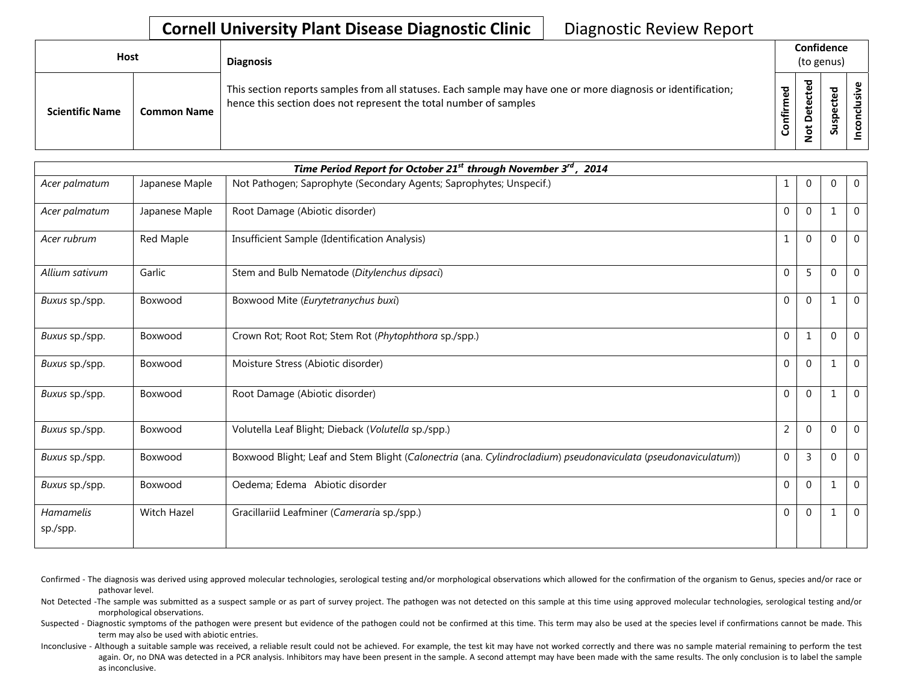## **Cornell University Plant Disease Diagnostic Clinic** | Diagnostic Review Report

| <b>Host</b> |                        |                    | <b>Diagnosis</b>                                                                                                                                                                   |                              |                                         | Confidence<br>(to genus)      |    |
|-------------|------------------------|--------------------|------------------------------------------------------------------------------------------------------------------------------------------------------------------------------------|------------------------------|-----------------------------------------|-------------------------------|----|
|             | <b>Scientific Name</b> | <b>Common Name</b> | This section reports samples from all statuses. Each sample may have one or more diagnosis or identification;<br>hence this section does not represent the total number of samples | 5g<br>٤<br><b>Infir</b><br>ပ | ъ<br>ť<br>ق<br>۵<br>۵<br>پ<br>$\dot{S}$ | ᠊ᢦ<br>உ<br>ں<br>ဒ္ဓ<br>-<br>S | šŗ |

| Time Period Report for October 21 <sup>st</sup> through November 3 <sup>rd</sup> , 2014 |                |                                                                                                                |                  |                  |             |              |  |  |  |
|-----------------------------------------------------------------------------------------|----------------|----------------------------------------------------------------------------------------------------------------|------------------|------------------|-------------|--------------|--|--|--|
| Acer palmatum                                                                           | Japanese Maple | Not Pathogen; Saprophyte (Secondary Agents; Saprophytes; Unspecif.)                                            | 1                | 0                | $\Omega$    | $\mathbf 0$  |  |  |  |
| Acer palmatum                                                                           | Japanese Maple | Root Damage (Abiotic disorder)                                                                                 | $\mathbf{0}$     | $\mathbf 0$      |             | $\mathbf 0$  |  |  |  |
| Acer rubrum                                                                             | Red Maple      | Insufficient Sample (Identification Analysis)                                                                  | $\mathbf{1}$     | $\mathbf 0$      | $\Omega$    | $\mathbf 0$  |  |  |  |
| Allium sativum                                                                          | Garlic         | Stem and Bulb Nematode (Ditylenchus dipsaci)                                                                   | $\mathbf 0$      | 5                | $\Omega$    | $\Omega$     |  |  |  |
| Buxus sp./spp.                                                                          | Boxwood        | Boxwood Mite (Eurytetranychus buxi)                                                                            | $\boldsymbol{0}$ | $\mathbf 0$      | $\mathbf 1$ | $\mathbf{0}$ |  |  |  |
| Buxus sp./spp.                                                                          | Boxwood        | Crown Rot; Root Rot; Stem Rot (Phytophthora sp./spp.)                                                          | $\mathbf 0$      | $\mathbf{1}$     | $\Omega$    | $\mathbf{0}$ |  |  |  |
| Buxus sp./spp.                                                                          | Boxwood        | Moisture Stress (Abiotic disorder)                                                                             | $\mathbf{0}$     | $\boldsymbol{0}$ |             | $\mathbf 0$  |  |  |  |
| Buxus sp./spp.                                                                          | Boxwood        | Root Damage (Abiotic disorder)                                                                                 | $\mathbf{0}$     | $\mathbf 0$      | $\mathbf 1$ | $\mathbf{0}$ |  |  |  |
| Buxus sp./spp.                                                                          | Boxwood        | Volutella Leaf Blight; Dieback (Volutella sp./spp.)                                                            | $\overline{2}$   | $\mathbf 0$      | $\Omega$    | $\mathbf{0}$ |  |  |  |
| Buxus sp./spp.                                                                          | Boxwood        | Boxwood Blight; Leaf and Stem Blight (Calonectria (ana. Cylindrocladium) pseudonaviculata (pseudonaviculatum)) | $\boldsymbol{0}$ | $\overline{3}$   | $\Omega$    | $\mathbf 0$  |  |  |  |
| Buxus sp./spp.                                                                          | Boxwood        | Oedema; Edema Abiotic disorder                                                                                 | $\mathbf 0$      | $\mathbf 0$      |             | $\Omega$     |  |  |  |
| Hamamelis<br>sp./spp.                                                                   | Witch Hazel    | Gracillariid Leafminer (Cameraria sp./spp.)                                                                    | $\mathbf{0}$     | $\mathbf 0$      | 1           | $\mathbf 0$  |  |  |  |

Confirmed - The diagnosis was derived using approved molecular technologies, serological testing and/or morphological observations which allowed for the confirmation of the organism to Genus, species and/or race or pathovar level.

Not Detected -The sample was submitted as a suspect sample or as part of survey project. The pathogen was not detected on this sample at this time using approved molecular technologies, serological testing and/or morphological observations.

Suspected - Diagnostic symptoms of the pathogen were present but evidence of the pathogen could not be confirmed at this time. This term may also be used at the species level if confirmations cannot be made. This term may also be used with abiotic entries.

Inconclusive - Although a suitable sample was received, a reliable result could not be achieved. For example, the test kit may have not worked correctly and there was no sample material remaining to perform the test again. Or, no DNA was detected in a PCR analysis. Inhibitors may have been present in the sample. A second attempt may have been made with the same results. The only conclusion is to label the sample as inconclusive.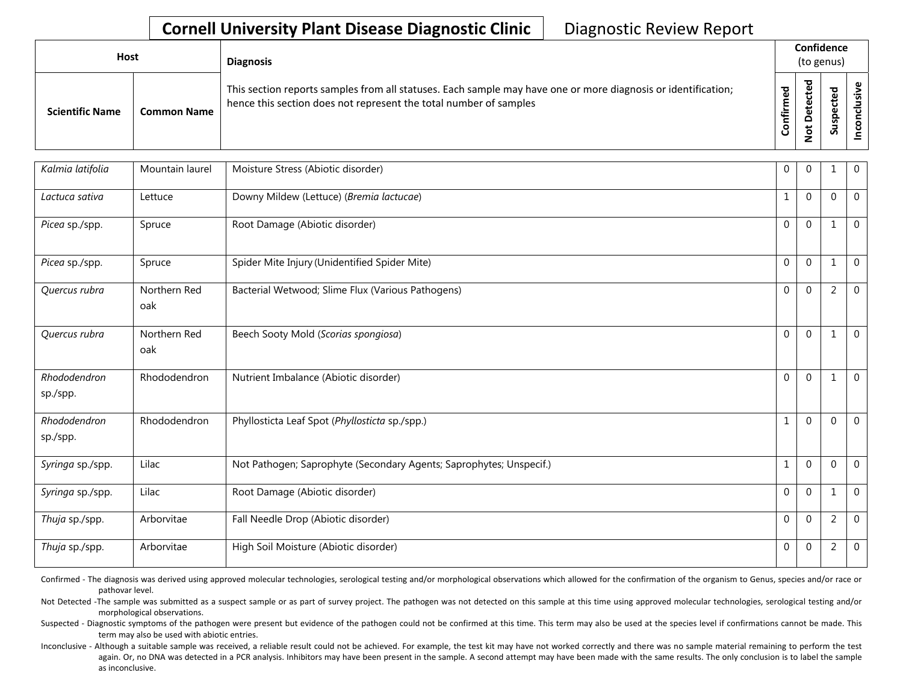## **Cornell University Plant Disease Diagnostic Clinic** | Diagnostic Review Report

| <b>Host</b>            |                    |                                                                                                                                                                                    |               | <b>Diagnosis</b>              |                              | Confidence<br>(to genus) |  |  |
|------------------------|--------------------|------------------------------------------------------------------------------------------------------------------------------------------------------------------------------------|---------------|-------------------------------|------------------------------|--------------------------|--|--|
| <b>Scientific Name</b> | <b>Common Name</b> | This section reports samples from all statuses. Each sample may have one or more diagnosis or identification;<br>hence this section does not represent the total number of samples | ਠ<br>٤<br>tir | ᇃ<br>Φ<br>۵<br>ى<br>$\dot{S}$ | ᠊ᠣ<br>உ<br>௨<br>w<br>Б<br>Ō, |                          |  |  |

| Kalmia latifolia         | Mountain laurel     | Moisture Stress (Abiotic disorder)                                  | $\overline{0}$ | $\Omega$     |                | $\overline{0}$ |
|--------------------------|---------------------|---------------------------------------------------------------------|----------------|--------------|----------------|----------------|
| Lactuca sativa           | Lettuce             | Downy Mildew (Lettuce) (Bremia lactucae)                            | 1              | $\Omega$     | $\mathbf 0$    | $\overline{0}$ |
| Picea sp./spp.           | Spruce              | Root Damage (Abiotic disorder)                                      | $\Omega$       | $\Omega$     |                | $\overline{0}$ |
| Picea sp./spp.           | Spruce              | Spider Mite Injury (Unidentified Spider Mite)                       | $\Omega$       | $\Omega$     |                | $\overline{0}$ |
| Quercus rubra            | Northern Red<br>oak | Bacterial Wetwood; Slime Flux (Various Pathogens)                   | $\Omega$       | $\Omega$     | $\overline{2}$ | $\overline{0}$ |
| Quercus rubra            | Northern Red<br>oak | Beech Sooty Mold (Scorias spongiosa)                                | $\Omega$       | $\Omega$     |                | $\overline{0}$ |
| Rhododendron<br>sp./spp. | Rhododendron        | Nutrient Imbalance (Abiotic disorder)                               | $\Omega$       | $\Omega$     |                | $\mathbf{0}$   |
| Rhododendron<br>sp./spp. | Rhododendron        | Phyllosticta Leaf Spot (Phyllosticta sp./spp.)                      | $\mathbf{1}$   | $\mathbf{0}$ | $\Omega$       | $\overline{0}$ |
| Syringa sp./spp.         | Lilac               | Not Pathogen; Saprophyte (Secondary Agents; Saprophytes; Unspecif.) | $\mathbf{1}$   | $\Omega$     | $\Omega$       | $\overline{0}$ |
| Syringa sp./spp.         | Lilac               | Root Damage (Abiotic disorder)                                      | $\mathbf 0$    | $\Omega$     |                | $\overline{0}$ |
| Thuja sp./spp.           | Arborvitae          | Fall Needle Drop (Abiotic disorder)                                 | $\overline{0}$ | $\Omega$     | 2              | $\overline{0}$ |
| Thuja sp./spp.           | Arborvitae          | High Soil Moisture (Abiotic disorder)                               | $\Omega$       | $\Omega$     | $\overline{2}$ | $\overline{0}$ |

Confirmed - The diagnosis was derived using approved molecular technologies, serological testing and/or morphological observations which allowed for the confirmation of the organism to Genus, species and/or race or pathovar level.

Not Detected -The sample was submitted as a suspect sample or as part of survey project. The pathogen was not detected on this sample at this time using approved molecular technologies, serological testing and/or morphological observations.

Suspected - Diagnostic symptoms of the pathogen were present but evidence of the pathogen could not be confirmed at this time. This term may also be used at the species level if confirmations cannot be made. This term may also be used with abiotic entries.

Inconclusive - Although a suitable sample was received, a reliable result could not be achieved. For example, the test kit may have not worked correctly and there was no sample material remaining to perform the test again. Or, no DNA was detected in a PCR analysis. Inhibitors may have been present in the sample. A second attempt may have been made with the same results. The only conclusion is to label the sample as inconclusive.